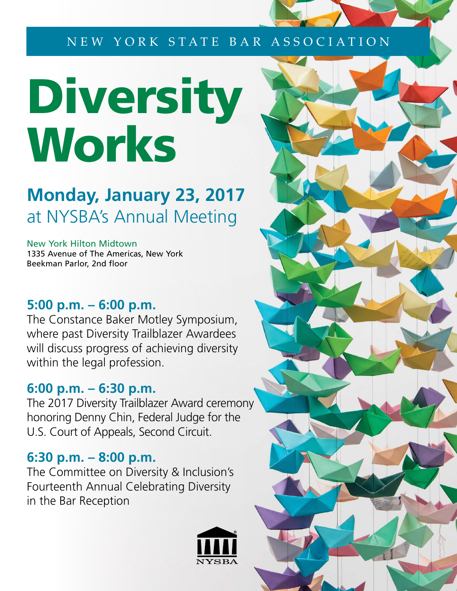#### NEW YORK STATE BAR ASSOCIATION

# Diversity **Works**

## **Monday, January 23, 2017** at NYSBA's Annual Meeting

New York Hilton Midtown 1335 Avenue of The Americas, New York Beekman Parlor, 2nd floor

## **5:00 p.m. – 6:00 p.m.**

The Constance Baker Motley Symposium, where past Diversity Trailblazer Awardees will discuss progress of achieving diversity within the legal profession.

## **6:00 p.m. – 6:30 p.m.**

The 2017 Diversity Trailblazer Award ceremony honoring Denny Chin, Federal Judge for the U.S. Court of Appeals, Second Circuit.

#### **6:30 p.m. – 8:00 p.m.**

The Committee on Diversity & Inclusion's Fourteenth Annual Celebrating Diversity in the Bar Reception